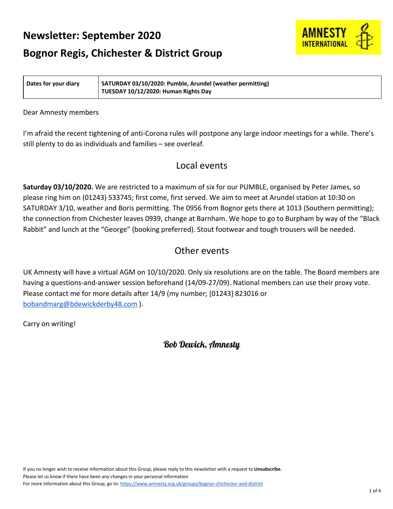# **Newsletter: September 2020**



# **Bognor Regis, Chichester & District Group**

**Dates for your diary SATURDAY 03/10/2020: Pumble, Arundel (weather permitting) TUESDAY 10/12/2020: Human Rights Day**

### Dear Amnesty members

I'm afraid the recent tightening of anti-Corona rules will postpone any large indoor meetings for a while. There's still plenty to do as individuals and families – see overleaf.

## Local events

**Saturday 03/10/2020.** We are restricted to a maximum of six for our PUMBLE, organised by Peter James, so please ring him on (01243) 533745; first come, first served. We aim to meet at Arundel station at 10:30 on SATURDAY 3/10, weather and Boris permitting. The 0956 from Bognor gets there at 1013 (Southern permitting); the connection from Chichester leaves 0939, change at Barnham. We hope to go to Burpham by way of the "Black Rabbit" and lunch at the "George" (booking preferred). Stout footwear and tough trousers will be needed.

# Other events

UK Amnesty will have a virtual AGM on 10/10/2020. Only six resolutions are on the table. The Board members are having a questions-and-answer session beforehand (14/09-27/09). National members can use their proxy vote. Please contact me for more details after 14/9 (my number; [01243] 823016 or [bobandmarg@bdewickderby48.com](mailto:bobandmarg@bdewickderby48.com) ).

Carry on writing!

Bob Dewick, Amnesty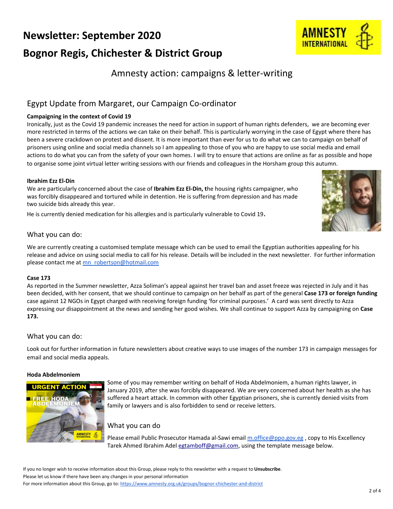# **Newsletter: September 2020 Bognor Regis, Chichester & District Group**

# Amnesty action: campaigns & letter-writing

## Egypt Update from Margaret, our Campaign Co-ordinator

### **Campaigning in the context of Covid 19**

Ironically, just as the Covid 19 pandemic increases the need for action in support of human rights defenders, we are becoming ever more restricted in terms of the actions we can take on their behalf. This is particularly worrying in the case of Egypt where there has been a severe crackdown on protest and dissent. It is more important than ever for us to do what we can to campaign on behalf of prisoners using online and social media channels so I am appealing to those of you who are happy to use social media and email actions to do what you can from the safety of your own homes. I will try to ensure that actions are online as far as possible and hope to organise some joint virtual letter writing sessions with our friends and colleagues in the Horsham group this autumn.

### **Ibrahim Ezz El-Din**

We are particularly concerned about the case of **Ibrahim Ezz El-Din, t**he housing rights campaigner, who was forcibly disappeared and tortured while in detention. He is suffering from depression and has made two suicide bids already this year.

He is currently denied medication for his allergies and is particularly vulnerable to Covid 19.

### What you can do:

We are currently creating a customised template message which can be used to email the Egyptian authorities appealing for his release and advice on using social media to call for his release. Details will be included in the next newsletter. For further information please contact me at [mn\\_robertson@hotmail.com](mailto:mn_robertson@hotmail.com)

#### **Case 173**

As reported in the Summer newsletter, Azza Soliman's appeal against her travel ban and asset freeze was rejected in July and it has been decided, with her consent, that we should continue to campaign on her behalf as part of the general **Case 173 or foreign funding** case against 12 NGOs in Egypt charged with receiving foreign funding 'for criminal purposes.' A card was sent directly to Azza expressing our disappointment at the news and sending her good wishes. We shall continue to support Azza by campaigning on **Case 173.**

### What you can do:

Look out for further information in future newsletters about creative ways to use images of the number 173 in campaign messages for email and social media appeals.

#### **Hoda Abdelmoniem**



Some of you may remember writing on behalf of Hoda Abdelmoniem, a human rights lawyer, in January 2019, after she was forcibly disappeared. We are very concerned about her health as she has suffered a heart attack. In common with other Egyptian prisoners, she is currently denied visits from family or lawyers and is also forbidden to send or receive letters.

### What you can do

Please email Public Prosecutor Hamada al-Sawi email [m.office@ppo.gov.eg](mailto:m.office@ppo.gov.eg), copy to His Excellency Tarek Ahmed Ibrahim Adel [egtamboff@gmail.com](mailto:egtamboff@gmail.com), using the template message below.



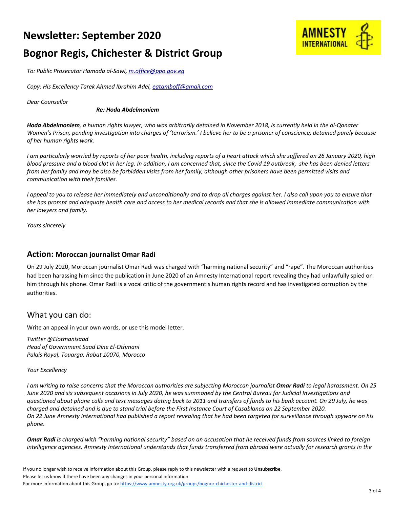# **Newsletter: September 2020**



# **Bognor Regis, Chichester & District Group**

*To: Public Prosecutor Hamada al-Sawi, m.office@ppo.gov.eg*

*Copy: His Excellency Tarek Ahmed Ibrahim Adel, [egtamboff@gmail.com](mailto:egtamboff@gmail.com)*

*Dear Counsellor*

#### *Re: Hoda Abdelmoniem*

Hoda Abdelmoniem, a human rights lawyer, who was arbitrarily detained in November 2018, is currently held in the al-Qanater Women's Prison, pending investigation into charges of 'terrorism.' I believe her to be a prisoner of conscience, detained purely because *of her human rights work.*

I am particularly worried by reports of her poor health, including reports of a heart attack which she suffered on 26 January 2020, high blood pressure and a blood clot in her leg. In addition, I am concerned that, since the Covid 19 outbreak, she has been denied letters from her family and may be also be forbidden visits from her family, although other prisoners have been permitted visits and *communication with their families.*

I appeal to you to release her immediately and unconditionally and to drop all charges against her. I also call upon you to ensure that she has prompt and adequate health care and access to her medical records and that she is allowed immediate communication with *her lawyers and family.*

*Yours sincerely*

### **Action: Moroccan journalist Omar Radi**

On 29 July 2020, Moroccan journalist Omar Radi was charged with "harming national security" and "rape". The Moroccan authorities had been harassing him since the publication in June 2020 of an Amnesty International report revealing they had unlawfully spied on him through his phone. Omar Radi is a vocal critic of the government's human rights record and has investigated corruption by the authorities.

## What you can do:

Write an appeal in your own words, or use this model letter.

*Twitter @Elotmanisaad Head of Government Saad Dine El-Othmani Palais Royal, Touarga, Rabat 10070, Morocco*

#### *Your Excellency*

I am writing to raise concerns that the Moroccan authorities are subjecting Moroccan journalist Omar Radi to legal harassment. On 25 June 2020 and six subsequent occasions in July 2020, he was summoned by the Central Bureau for Judicial Investigations and questioned about phone calls and text messages dating back to 2011 and transfers of funds to his bank account. On 29 July, he was charged and detained and is due to stand trial before the First Instance Court of Casablanca on 22 September 2020. On 22 June Amnesty International had published a report revealing that he had been targeted for surveillance through spyware on his *phone.*

Omar Radi is charged with "harming national security" based on an accusation that he received funds from sources linked to foreign intelligence agencies. Amnesty International understands that funds transferred from abroad were actually for research grants in the